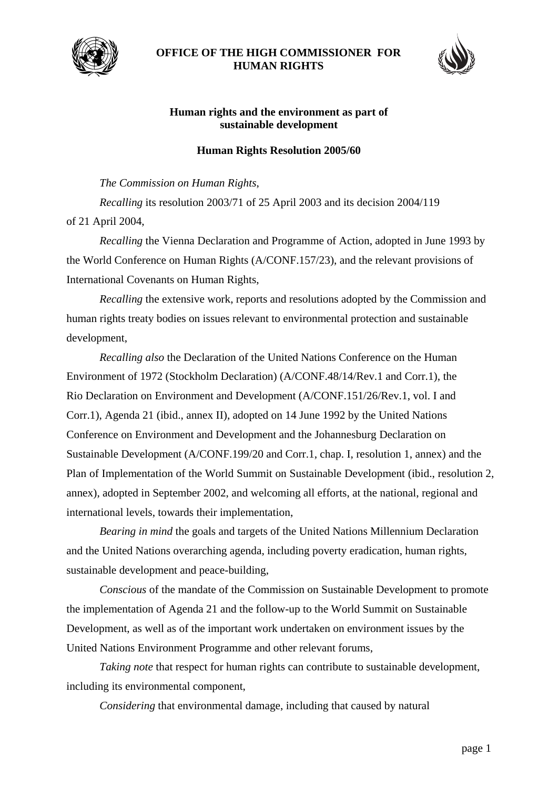

## **OFFICE OF THE HIGH COMMISSIONER FOR HUMAN RIGHTS**



## **Human rights and the environment as part of sustainable development**

## **Human Rights Resolution 2005/60**

## *The Commission on Human Rights*,

*Recalling* its resolution 2003/71 of 25 April 2003 and its decision 2004/119 of 21 April 2004,

*Recalling* the Vienna Declaration and Programme of Action, adopted in June 1993 by the World Conference on Human Rights (A/CONF.157/23), and the relevant provisions of International Covenants on Human Rights,

*Recalling* the extensive work, reports and resolutions adopted by the Commission and human rights treaty bodies on issues relevant to environmental protection and sustainable development,

*Recalling also* the Declaration of the United Nations Conference on the Human Environment of 1972 (Stockholm Declaration) (A/CONF.48/14/Rev.1 and Corr.1), the Rio Declaration on Environment and Development (A/CONF.151/26/Rev.1, vol. I and Corr.1), Agenda 21 (ibid., annex II), adopted on 14 June 1992 by the United Nations Conference on Environment and Development and the Johannesburg Declaration on Sustainable Development (A/CONF.199/20 and Corr.1, chap. I, resolution 1, annex) and the Plan of Implementation of the World Summit on Sustainable Development (ibid., resolution 2, annex), adopted in September 2002, and welcoming all efforts, at the national, regional and international levels, towards their implementation,

*Bearing in mind* the goals and targets of the United Nations Millennium Declaration and the United Nations overarching agenda, including poverty eradication, human rights, sustainable development and peace-building,

*Conscious* of the mandate of the Commission on Sustainable Development to promote the implementation of Agenda 21 and the follow-up to the World Summit on Sustainable Development, as well as of the important work undertaken on environment issues by the United Nations Environment Programme and other relevant forums,

*Taking note* that respect for human rights can contribute to sustainable development, including its environmental component,

*Considering* that environmental damage, including that caused by natural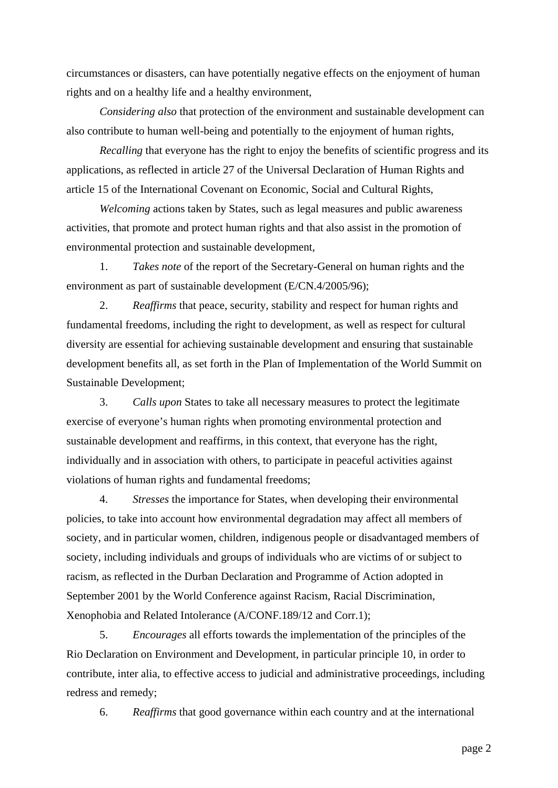circumstances or disasters, can have potentially negative effects on the enjoyment of human rights and on a healthy life and a healthy environment,

*Considering also* that protection of the environment and sustainable development can also contribute to human well-being and potentially to the enjoyment of human rights,

*Recalling* that everyone has the right to enjoy the benefits of scientific progress and its applications, as reflected in article 27 of the Universal Declaration of Human Rights and article 15 of the International Covenant on Economic, Social and Cultural Rights,

*Welcoming* actions taken by States, such as legal measures and public awareness activities, that promote and protect human rights and that also assist in the promotion of environmental protection and sustainable development,

 1. *Takes note* of the report of the Secretary-General on human rights and the environment as part of sustainable development (E/CN.4/2005/96);

 2. *Reaffirms* that peace, security, stability and respect for human rights and fundamental freedoms, including the right to development, as well as respect for cultural diversity are essential for achieving sustainable development and ensuring that sustainable development benefits all, as set forth in the Plan of Implementation of the World Summit on Sustainable Development;

 3. *Calls upon* States to take all necessary measures to protect the legitimate exercise of everyone's human rights when promoting environmental protection and sustainable development and reaffirms, in this context, that everyone has the right, individually and in association with others, to participate in peaceful activities against violations of human rights and fundamental freedoms;

 4. *Stresses* the importance for States, when developing their environmental policies, to take into account how environmental degradation may affect all members of society, and in particular women, children, indigenous people or disadvantaged members of society, including individuals and groups of individuals who are victims of or subject to racism, as reflected in the Durban Declaration and Programme of Action adopted in September 2001 by the World Conference against Racism, Racial Discrimination, Xenophobia and Related Intolerance (A/CONF.189/12 and Corr.1);

 5. *Encourages* all efforts towards the implementation of the principles of the Rio Declaration on Environment and Development, in particular principle 10, in order to contribute, inter alia, to effective access to judicial and administrative proceedings, including redress and remedy;

6. *Reaffirms* that good governance within each country and at the international